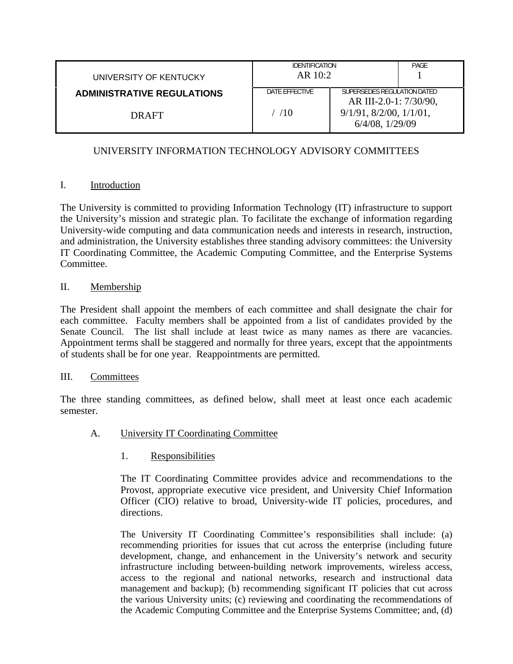| UNIVERSITY OF KENTUCKY            | <b>IDENTIFICATION</b><br>AR 10:2 |                                                          | PAGE |
|-----------------------------------|----------------------------------|----------------------------------------------------------|------|
| <b>ADMINISTRATIVE REGULATIONS</b> | DATE EFFECTIVE                   | SUPERSEDES REGULATION DATED<br>AR III-2.0-1: 7/30/90,    |      |
| DRAFT                             | /10                              | $9/1/91$ , $8/2/00$ , $1/1/01$ ,<br>$6/4/08$ , $1/29/09$ |      |

# UNIVERSITY INFORMATION TECHNOLOGY ADVISORY COMMITTEES

## I. Introduction

The University is committed to providing Information Technology (IT) infrastructure to support the University's mission and strategic plan. To facilitate the exchange of information regarding University-wide computing and data communication needs and interests in research, instruction, and administration, the University establishes three standing advisory committees: the University IT Coordinating Committee, the Academic Computing Committee, and the Enterprise Systems Committee.

## II. Membership

The President shall appoint the members of each committee and shall designate the chair for each committee. Faculty members shall be appointed from a list of candidates provided by the Senate Council. The list shall include at least twice as many names as there are vacancies. Appointment terms shall be staggered and normally for three years, except that the appointments of students shall be for one year. Reappointments are permitted.

### III. Committees

The three standing committees, as defined below, shall meet at least once each academic semester.

A. University IT Coordinating Committee

# 1. Responsibilities

 The IT Coordinating Committee provides advice and recommendations to the Provost, appropriate executive vice president, and University Chief Information Officer (CIO) relative to broad, University-wide IT policies, procedures, and directions.

The University IT Coordinating Committee's responsibilities shall include: (a) recommending priorities for issues that cut across the enterprise (including future development, change, and enhancement in the University's network and security infrastructure including between-building network improvements, wireless access, access to the regional and national networks, research and instructional data management and backup); (b) recommending significant IT policies that cut across the various University units; (c) reviewing and coordinating the recommendations of the Academic Computing Committee and the Enterprise Systems Committee; and, (d)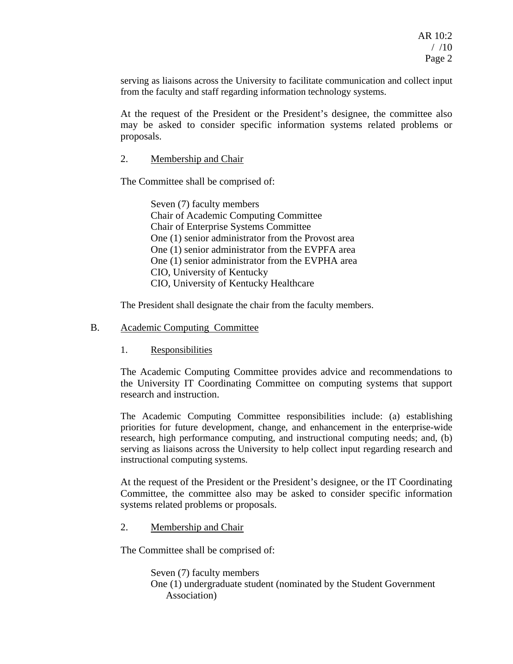serving as liaisons across the University to facilitate communication and collect input from the faculty and staff regarding information technology systems.

At the request of the President or the President's designee, the committee also may be asked to consider specific information systems related problems or proposals.

### 2. Membership and Chair

The Committee shall be comprised of:

Seven (7) faculty members Chair of Academic Computing Committee Chair of Enterprise Systems Committee One (1) senior administrator from the Provost area One (1) senior administrator from the EVPFA area One (1) senior administrator from the EVPHA area CIO, University of Kentucky CIO, University of Kentucky Healthcare

The President shall designate the chair from the faculty members.

#### B. Academic Computing Committee

1. Responsibilities

 The Academic Computing Committee provides advice and recommendations to the University IT Coordinating Committee on computing systems that support research and instruction.

The Academic Computing Committee responsibilities include: (a) establishing priorities for future development, change, and enhancement in the enterprise-wide research, high performance computing, and instructional computing needs; and, (b) serving as liaisons across the University to help collect input regarding research and instructional computing systems.

At the request of the President or the President's designee, or the IT Coordinating Committee, the committee also may be asked to consider specific information systems related problems or proposals.

### 2. Membership and Chair

The Committee shall be comprised of:

Seven (7) faculty members One (1) undergraduate student (nominated by the Student Government Association)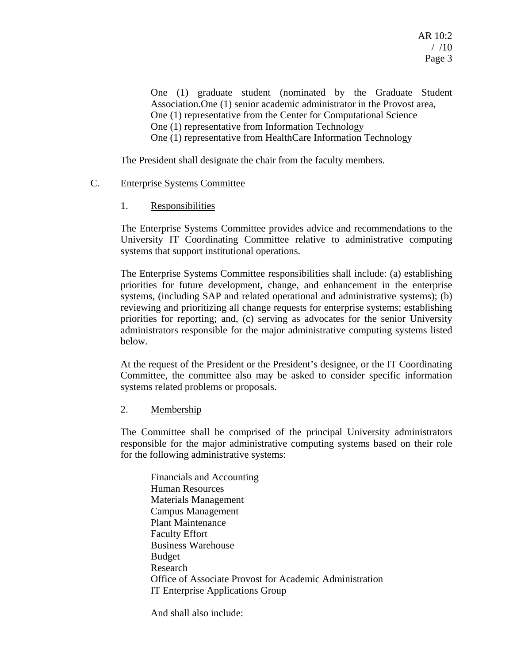$AR$  10 $\cdot$ 2  $/ 10$ Page 3

One (1) graduate student (nominated by the Graduate Student Association.One (1) senior academic administrator in the Provost area, One (1) representative from the Center for Computational Science One (1) representative from Information Technology One (1) representative from HealthCare Information Technology

The President shall designate the chair from the faculty members.

### C. Enterprise Systems Committee

### 1. Responsibilities

 The Enterprise Systems Committee provides advice and recommendations to the University IT Coordinating Committee relative to administrative computing systems that support institutional operations.

The Enterprise Systems Committee responsibilities shall include: (a) establishing priorities for future development, change, and enhancement in the enterprise systems, (including SAP and related operational and administrative systems); (b) reviewing and prioritizing all change requests for enterprise systems; establishing priorities for reporting; and, (c) serving as advocates for the senior University administrators responsible for the major administrative computing systems listed below.

At the request of the President or the President's designee, or the IT Coordinating Committee, the committee also may be asked to consider specific information systems related problems or proposals.

2. Membership

 The Committee shall be comprised of the principal University administrators responsible for the major administrative computing systems based on their role for the following administrative systems:

Financials and Accounting Human Resources Materials Management Campus Management Plant Maintenance Faculty Effort Business Warehouse Budget Research Office of Associate Provost for Academic Administration IT Enterprise Applications Group

And shall also include: